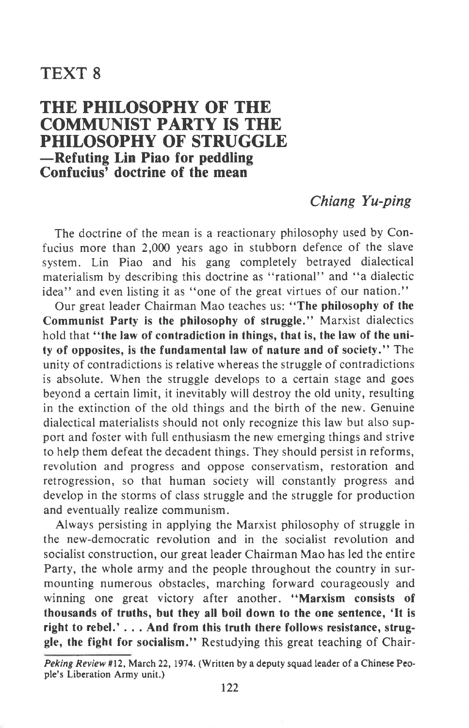## TEXT <sup>8</sup>

## THE PHILOSOPHY OF THE COMMUNIST PARTY IS THE PHILOSOPHY OF STRUGGLE -Refuting Lin Piao for peddling Confucius' doctrine of the mean

## Chiang Yu-ping

The doctrine of the mean is a reactionary philosophy used by Confucius more than 2,000 years ago in stubborn defence of the slave system. Lin Piao and his gang completely betrayed dialectical materialism by describing this doctrine as "rational" and "a dialectic idea" and even listing it as "one of the great virtues of our nation."

Our great leader Chairman Mao teaches us: "The philosophy of the Communist Party is the philosophy of struggle." Marxist dialectics hold that "the law of contradiction in things, that is, the law of the unity of opposites, is the fundamental law of nature and of society." The unity of contradictions is relative whereas the struggle of contradictions is absolute. When the struggle develops to a certain stage and goes beyond a certain limit, it inevitably will destroy the old unity, resulting in the extinction of the old things and the birth of the new. Genuine dialectical materialists should not only recognize this law but also support and foster with full enthusiasm the new emerging things and strive to help them defeat the decadent things. They should persist in reforms, revolution and progress and oppose conservatism, restoration and retrogression, so that human society will constantly progress and develop in the storms of class struggle and the struggle for production and eventually realize communism.

Always persisting in applying the Marxist philosophy of struggle in the new-democratic revolution and in the socialist revolution and socialist construction, our great leader Chairman Mao has led the entire Party, the whole army and the people throughout the country in surmounting numerous obstacles, marching forward courageously and winning one great victory after another. "Marxism consists of thousands of truths, but they all boil down to the one sentence, 'It is right to rebel.'... And from this truth there follows resistance, struggle, the fight for socialism." Restudying this great teaching of Chair-

Peking Review #12, March 22, 1974. (Written by a deputy squad leader of a Chinese People's Liberation Army unit.)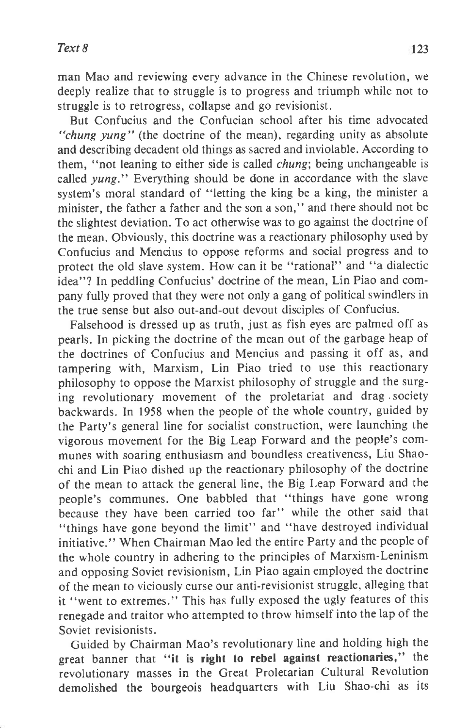man Mao and reviewing every advance in the Chinese reyolution, we deeply realize that to struggle is to progress and triumph while not to struggle is to retrogress, collapse and go revisionist.

But Confucius and the Confucian school after his time advocated "chung yung" (the doctrine of the mean), regarding unity as absolute and describing decadent old things as sacred and inviolable. According to them, "not leaning to either side is called chung; being unchangeable is called yung." Everything should be done in accordance with the slave system's moral standard of "letting the king be a king, the minister <sup>a</sup> minister, the father a father and the son a son," and there should not be the slightest deviation. To act otherwise was to go against the doctrine of the mean. Obviously, this doctrine was a reactionary philosophy used by Confucius and Mencius to oppose reforms and social progress and to protect the old slave system. How can it be "rational" and "a dialectic idea"? In peddling Confucius' doctrine of the mean, Lin Piao and company fully proved that they were not only a gang of political swindlers in the true sense but also out-and-out devout disciples of Confucius.

Falsehood is dressed up as truth, just as fish eyes are palmed off as pearls. In picking the doctrine of the mean out of the garbage heap of the doctrines of Confucius and Mencius and passing it off as, and tampering with, Marxism, Lin Piao tried to use this reactionary philosophy to oppose the Marxist philosophy of struggle and the surging revolutionary movement of the proletariat and drag society backwards. In 1958 when the people of the whole country, guided by the Party's general line for socialist construction, were launching the vigorous movement for the Big Leap Forward and the people's communes with soaring enthusiasm and boundless creativeness, Liu Shaochi and Lin Piao dished up the reactionary philosophy of the doctrine of the mean to attack the general line, the Big Leap Forward and the people's communes. One babbled that "things have gone wrong because they have been carried too far" while the other said that "things have gone beyond the limit" and "have destroyed individual initiative." When Chairman Mao led the entire Party and the people of the whole country in adhering to the principles of Marxism-Leninism and opposing Soviet revisionism, Lin Piao again employed the doctrine of the mean to viciously curse our anti-revisionist struggle, alleging that it "went to extremes." This has fully exposed the ugly features of this renegade and traitor who attempted to throw himself into the lap of the Soviet revisionists.

Guided by Chairman Mao's revolutionary line and holding high the great banner that "it is right to rebel against reactionaries," the revolutionary masses in the Great Proletarian Cultural Revolution demolished the bourgeois headquarters with Liu Shao-chi as its